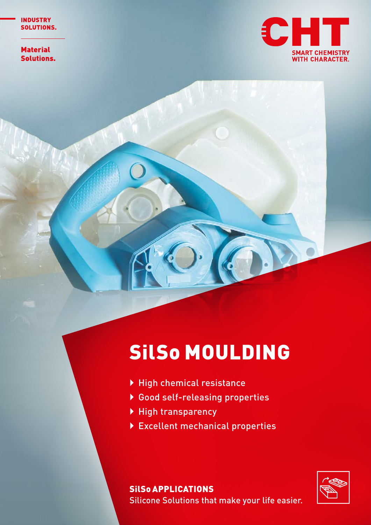**Material Solutions.** 



## SilSo MOULDING

- $\blacktriangleright$  High chemical resistance
- ▶ Good self-releasing properties
- ▶ High transparency
- **Excellent mechanical properties**



SilSo APPLICATIONS Silicone Solutions that make your life easier.